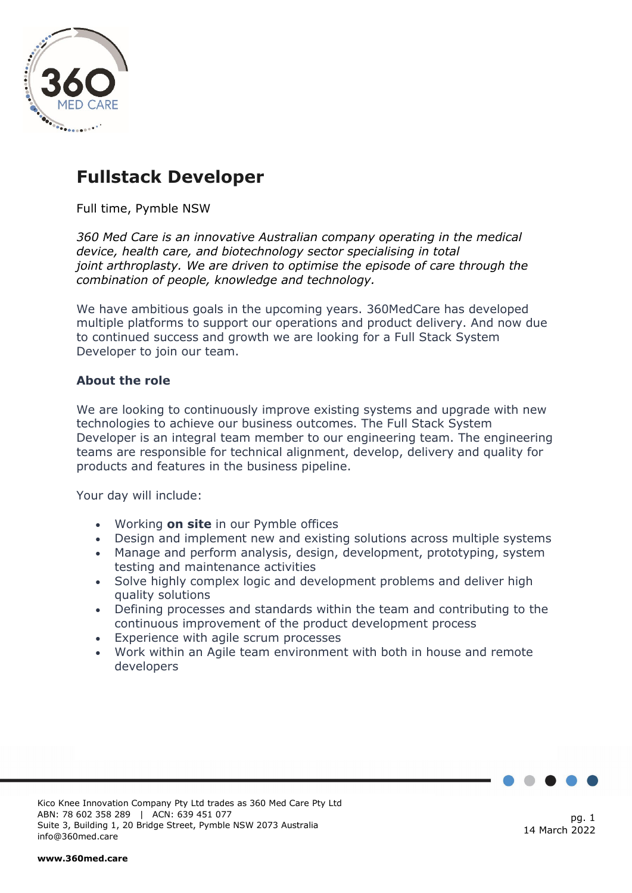

## **Fullstack Developer**

Full time, Pymble NSW

*360 Med Care is an innovative Australian company operating in the medical device, health care, and biotechnology sector specialising in total joint arthroplasty. We are driven to optimise the episode of care through the combination of people, knowledge and technology.*

We have ambitious goals in the upcoming years. 360MedCare has developed multiple platforms to support our operations and product delivery. And now due to continued success and growth we are looking for a Full Stack System Developer to join our team.

## **About the role**

We are looking to continuously improve existing systems and upgrade with new technologies to achieve our business outcomes. The Full Stack System Developer is an integral team member to our engineering team. The engineering teams are responsible for technical alignment, develop, delivery and quality for products and features in the business pipeline.

Your day will include:

- Working **on site** in our Pymble offices
- Design and implement new and existing solutions across multiple systems
- Manage and perform analysis, design, development, prototyping, system testing and maintenance activities
- Solve highly complex logic and development problems and deliver high quality solutions
- Defining processes and standards within the team and contributing to the continuous improvement of the product development process
- Experience with agile scrum processes
- Work within an Agile team environment with both in house and remote developers

Kico Knee Innovation Company Pty Ltd trades as 360 Med Care Pty Ltd ABN: 78 602 358 289 | ACN: 639 451 077 Suite 3, Building 1, 20 Bridge Street, Pymble NSW 2073 Australia info@360med.care

pg. 1 14 March 2022